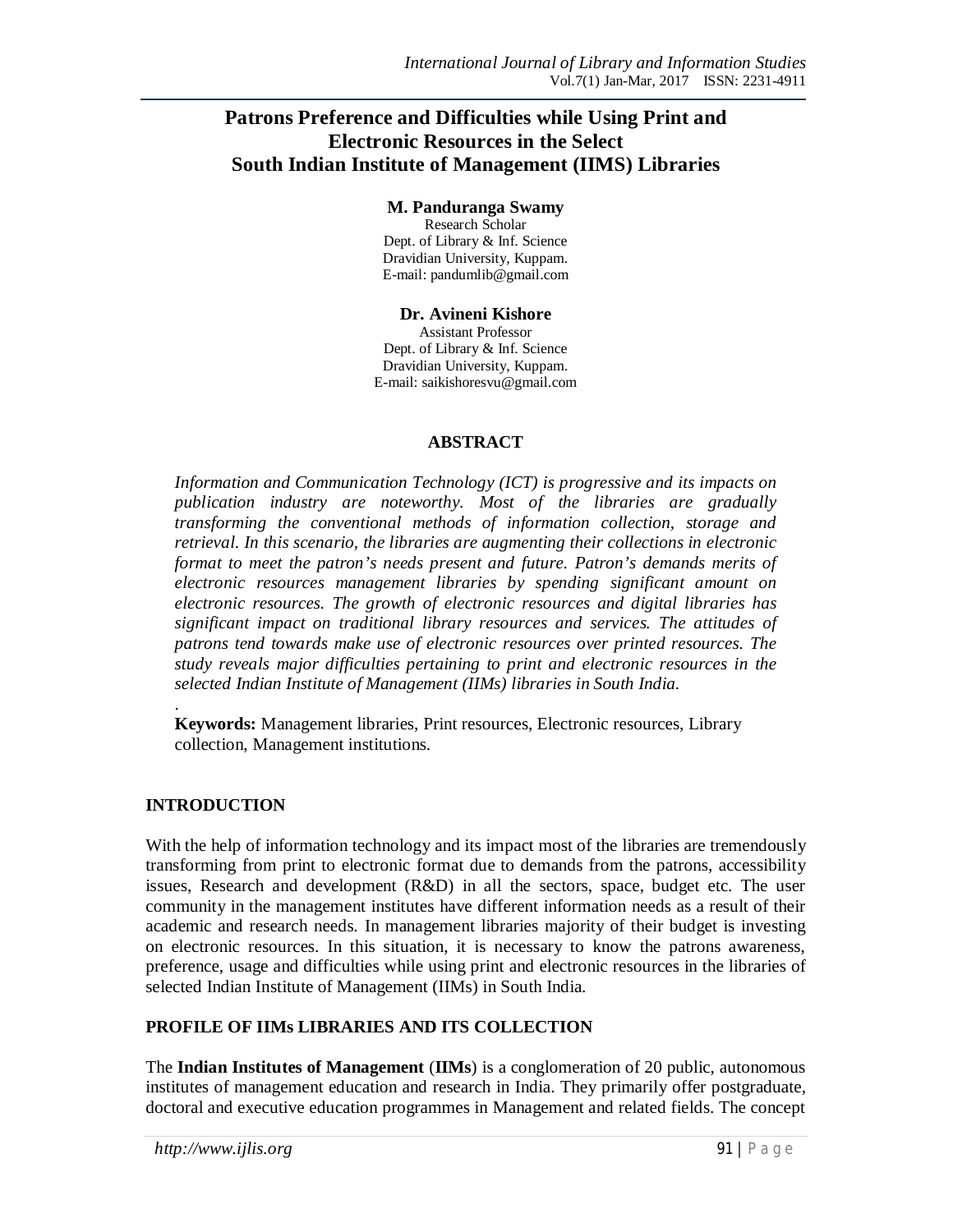# **Patrons Preference and Difficulties while Using Print and Electronic Resources in the Select South Indian Institute of Management (IIMS) Libraries**

#### **M. Panduranga Swamy**

Research Scholar Dept. of Library & Inf. Science Dravidian University, Kuppam. E-mail: pandumlib@gmail.com

#### **Dr. Avineni Kishore**

Assistant Professor Dept. of Library & Inf. Science Dravidian University, Kuppam. E-mail: saikishoresvu@gmail.com

#### **ABSTRACT**

*Information and Communication Technology (ICT) is progressive and its impacts on publication industry are noteworthy. Most of the libraries are gradually transforming the conventional methods of information collection, storage and retrieval. In this scenario, the libraries are augmenting their collections in electronic format to meet the patron's needs present and future. Patron's demands merits of electronic resources management libraries by spending significant amount on electronic resources. The growth of electronic resources and digital libraries has significant impact on traditional library resources and services. The attitudes of patrons tend towards make use of electronic resources over printed resources. The study reveals major difficulties pertaining to print and electronic resources in the selected Indian Institute of Management (IIMs) libraries in South India.* 

. **Keywords:** Management libraries, Print resources, Electronic resources, Library collection, Management institutions.

### **INTRODUCTION**

With the help of information technology and its impact most of the libraries are tremendously transforming from print to electronic format due to demands from the patrons, accessibility issues, Research and development (R&D) in all the sectors, space, budget etc. The user community in the management institutes have different information needs as a result of their academic and research needs. In management libraries majority of their budget is investing on electronic resources. In this situation, it is necessary to know the patrons awareness, preference, usage and difficulties while using print and electronic resources in the libraries of selected Indian Institute of Management (IIMs) in South India.

# **PROFILE OF IIMs LIBRARIES AND ITS COLLECTION**

The **Indian Institutes of Management** (**IIMs**) is a conglomeration of 20 public, autonomous institutes of management education and research in India. They primarily offer postgraduate, doctoral and executive education programmes in Management and related fields. The concept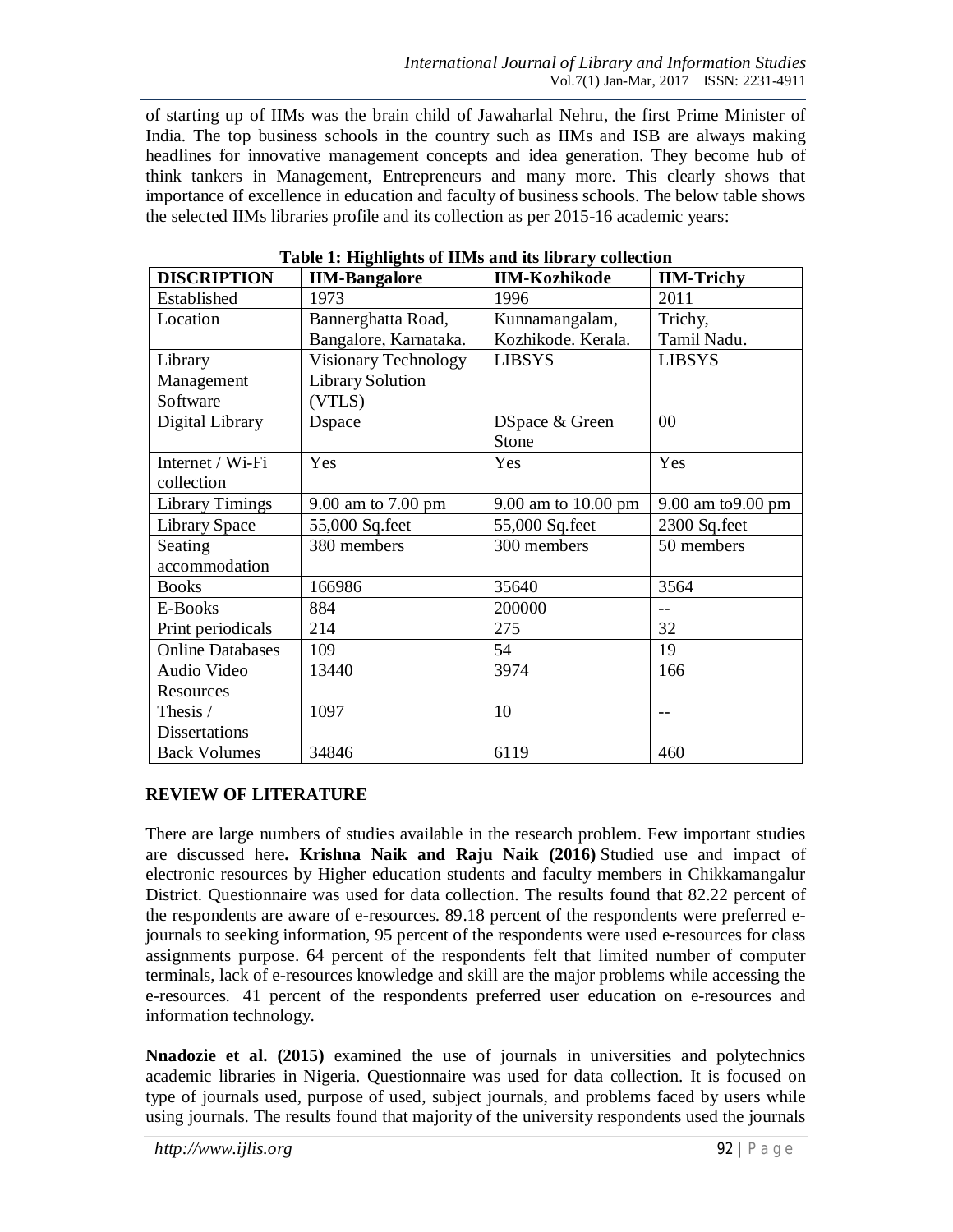of starting up of IIMs was the brain child of Jawaharlal Nehru, the first Prime Minister of India. The top business schools in the country such as IIMs and ISB are always making headlines for innovative management concepts and idea generation. They become hub of think tankers in Management, Entrepreneurs and many more. This clearly shows that importance of excellence in education and faculty of business schools. The below table shows the selected IIMs libraries profile and its collection as per 2015-16 academic years:

| <b>DISCRIPTION</b>      | Tuble 1, Inginights of Hims and no holdly concentru<br><b>IIM-Bangalore</b> | <b>IIM-Kozhikode</b> | <b>IIM-Trichy</b>  |
|-------------------------|-----------------------------------------------------------------------------|----------------------|--------------------|
| Established             | 1973                                                                        | 1996                 | 2011               |
| Location                | Bannerghatta Road,                                                          | Kunnamangalam,       | Trichy,            |
|                         | Bangalore, Karnataka.                                                       | Kozhikode. Kerala.   | Tamil Nadu.        |
| Library                 | Visionary Technology                                                        | <b>LIBSYS</b>        | <b>LIBSYS</b>      |
| Management              | <b>Library Solution</b>                                                     |                      |                    |
| Software                | (VTLS)                                                                      |                      |                    |
| Digital Library         | <b>D</b> space                                                              | DSpace & Green       | 00                 |
|                         |                                                                             | Stone                |                    |
| Internet / Wi-Fi        | Yes                                                                         | Yes                  | Yes                |
| collection              |                                                                             |                      |                    |
| <b>Library Timings</b>  | 9.00 am to 7.00 pm                                                          | 9.00 am to 10.00 pm  | 9.00 am to 9.00 pm |
| <b>Library Space</b>    | 55,000 Sq.feet                                                              | 55,000 Sq.feet       | 2300 Sq.feet       |
| Seating                 | 380 members                                                                 | 300 members          | 50 members         |
| accommodation           |                                                                             |                      |                    |
| <b>Books</b>            | 166986                                                                      | 35640                | 3564               |
| E-Books                 | 884                                                                         | 200000               | $-$                |
| Print periodicals       | 214                                                                         | 275                  | 32                 |
| <b>Online Databases</b> | 109                                                                         | 54                   | 19                 |
| Audio Video             | 13440                                                                       | 3974                 | 166                |
| Resources               |                                                                             |                      |                    |
| Thesis /                | 1097                                                                        | 10                   | $- -$              |
| <b>Dissertations</b>    |                                                                             |                      |                    |
| <b>Back Volumes</b>     | 34846                                                                       | 6119                 | 460                |

**Table 1: Highlights of IIMs and its library collection**

### **REVIEW OF LITERATURE**

There are large numbers of studies available in the research problem. Few important studies are discussed here**. Krishna Naik and Raju Naik (2016)** Studied use and impact of electronic resources by Higher education students and faculty members in Chikkamangalur District. Questionnaire was used for data collection. The results found that 82.22 percent of the respondents are aware of e-resources. 89.18 percent of the respondents were preferred ejournals to seeking information, 95 percent of the respondents were used e-resources for class assignments purpose. 64 percent of the respondents felt that limited number of computer terminals, lack of e-resources knowledge and skill are the major problems while accessing the e-resources. 41 percent of the respondents preferred user education on e-resources and information technology.

**Nnadozie et al. (2015)** examined the use of journals in universities and polytechnics academic libraries in Nigeria. Questionnaire was used for data collection. It is focused on type of journals used, purpose of used, subject journals, and problems faced by users while using journals. The results found that majority of the university respondents used the journals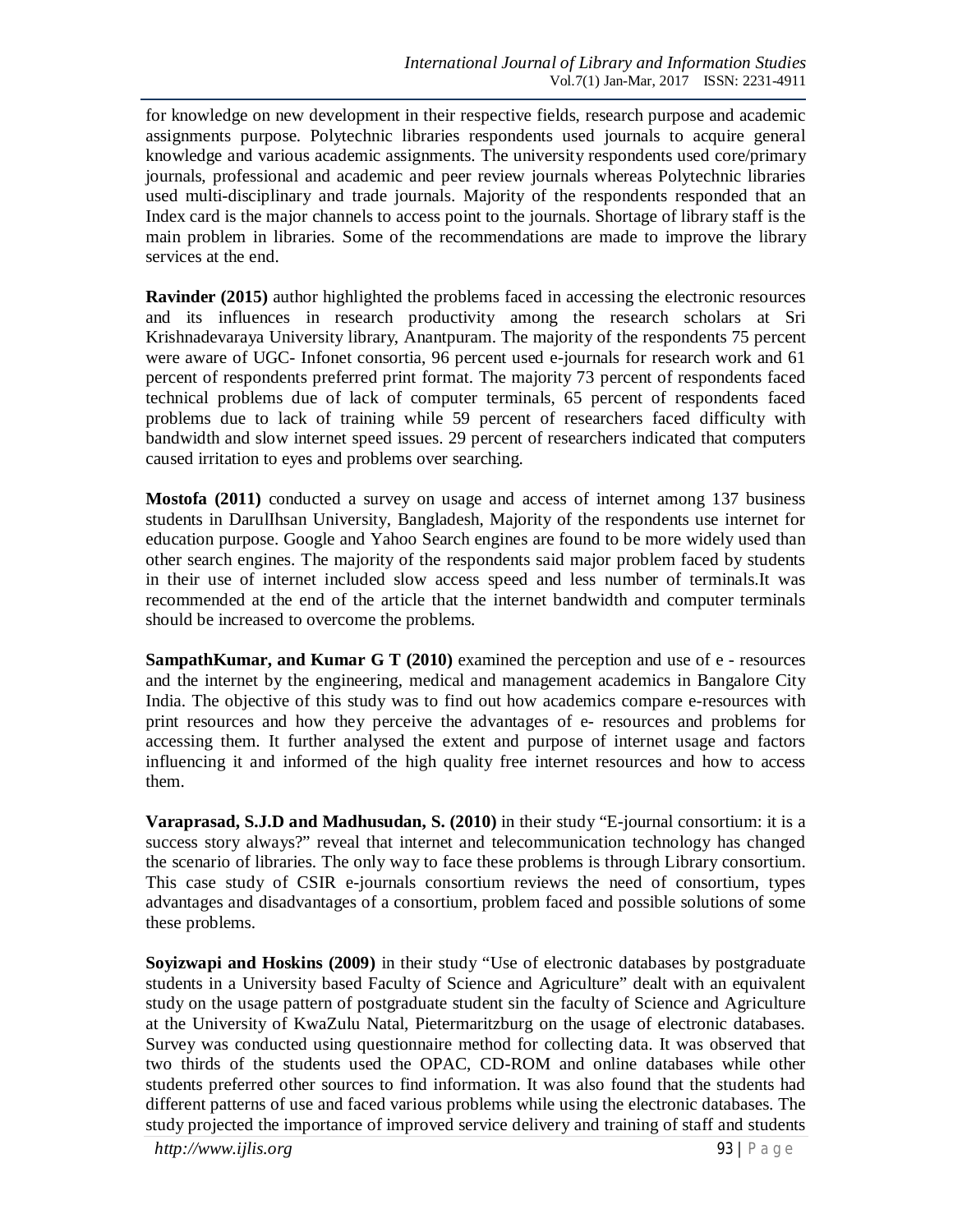for knowledge on new development in their respective fields, research purpose and academic assignments purpose. Polytechnic libraries respondents used journals to acquire general knowledge and various academic assignments. The university respondents used core/primary journals, professional and academic and peer review journals whereas Polytechnic libraries used multi-disciplinary and trade journals. Majority of the respondents responded that an Index card is the major channels to access point to the journals. Shortage of library staff is the main problem in libraries. Some of the recommendations are made to improve the library services at the end.

**Ravinder (2015)** author highlighted the problems faced in accessing the electronic resources and its influences in research productivity among the research scholars at Sri Krishnadevaraya University library, Anantpuram. The majority of the respondents 75 percent were aware of UGC- Infonet consortia, 96 percent used e-journals for research work and 61 percent of respondents preferred print format. The majority 73 percent of respondents faced technical problems due of lack of computer terminals, 65 percent of respondents faced problems due to lack of training while 59 percent of researchers faced difficulty with bandwidth and slow internet speed issues. 29 percent of researchers indicated that computers caused irritation to eyes and problems over searching.

**Mostofa (2011)** conducted a survey on usage and access of internet among 137 business students in DarulIhsan University, Bangladesh, Majority of the respondents use internet for education purpose. Google and Yahoo Search engines are found to be more widely used than other search engines. The majority of the respondents said major problem faced by students in their use of internet included slow access speed and less number of terminals.It was recommended at the end of the article that the internet bandwidth and computer terminals should be increased to overcome the problems.

**SampathKumar, and Kumar G T (2010)** examined the perception and use of e - resources and the internet by the engineering, medical and management academics in Bangalore City India. The objective of this study was to find out how academics compare e-resources with print resources and how they perceive the advantages of e- resources and problems for accessing them. It further analysed the extent and purpose of internet usage and factors influencing it and informed of the high quality free internet resources and how to access them.

**Varaprasad, S.J.D and Madhusudan, S. (2010)** in their study "E-journal consortium: it is a success story always?" reveal that internet and telecommunication technology has changed the scenario of libraries. The only way to face these problems is through Library consortium. This case study of CSIR e-journals consortium reviews the need of consortium, types advantages and disadvantages of a consortium, problem faced and possible solutions of some these problems.

**Soyizwapi and Hoskins (2009)** in their study "Use of electronic databases by postgraduate students in a University based Faculty of Science and Agriculture" dealt with an equivalent study on the usage pattern of postgraduate student sin the faculty of Science and Agriculture at the University of KwaZulu Natal, Pietermaritzburg on the usage of electronic databases. Survey was conducted using questionnaire method for collecting data. It was observed that two thirds of the students used the OPAC, CD-ROM and online databases while other students preferred other sources to find information. It was also found that the students had different patterns of use and faced various problems while using the electronic databases. The study projected the importance of improved service delivery and training of staff and students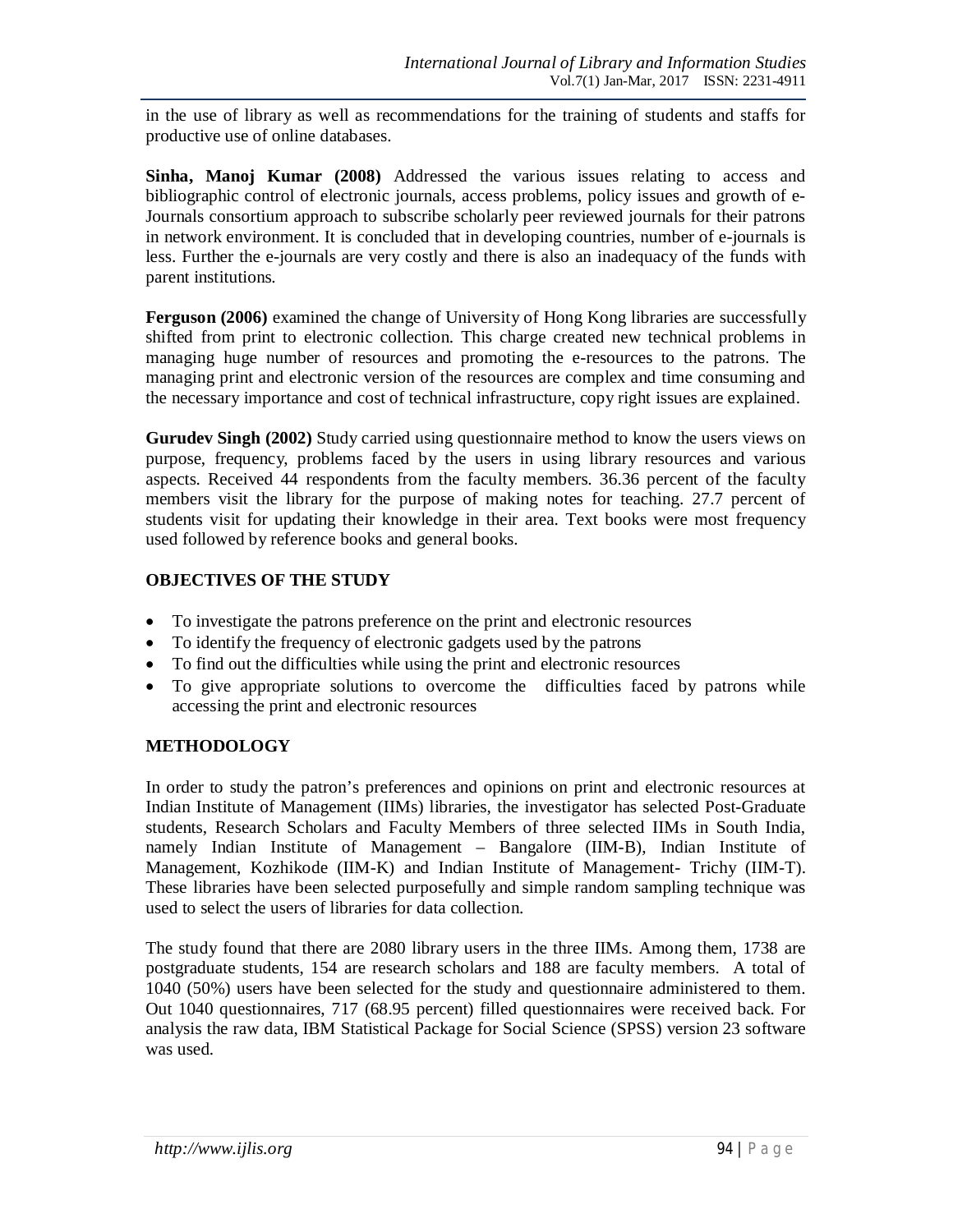in the use of library as well as recommendations for the training of students and staffs for productive use of online databases.

**Sinha, Manoj Kumar (2008)** Addressed the various issues relating to access and bibliographic control of electronic journals, access problems, policy issues and growth of e-Journals consortium approach to subscribe scholarly peer reviewed journals for their patrons in network environment. It is concluded that in developing countries, number of e-journals is less. Further the e-journals are very costly and there is also an inadequacy of the funds with parent institutions.

**Ferguson (2006)** examined the change of University of Hong Kong libraries are successfully shifted from print to electronic collection. This charge created new technical problems in managing huge number of resources and promoting the e-resources to the patrons. The managing print and electronic version of the resources are complex and time consuming and the necessary importance and cost of technical infrastructure, copy right issues are explained.

**Gurudev Singh (2002)** Study carried using questionnaire method to know the users views on purpose, frequency, problems faced by the users in using library resources and various aspects. Received 44 respondents from the faculty members. 36.36 percent of the faculty members visit the library for the purpose of making notes for teaching. 27.7 percent of students visit for updating their knowledge in their area. Text books were most frequency used followed by reference books and general books.

## **OBJECTIVES OF THE STUDY**

- To investigate the patrons preference on the print and electronic resources
- To identify the frequency of electronic gadgets used by the patrons
- To find out the difficulties while using the print and electronic resources
- To give appropriate solutions to overcome the difficulties faced by patrons while accessing the print and electronic resources

### **METHODOLOGY**

In order to study the patron's preferences and opinions on print and electronic resources at Indian Institute of Management (IIMs) libraries, the investigator has selected Post-Graduate students, Research Scholars and Faculty Members of three selected IIMs in South India, namely Indian Institute of Management – Bangalore (IIM-B), Indian Institute of Management, Kozhikode (IIM-K) and Indian Institute of Management- Trichy (IIM-T). These libraries have been selected purposefully and simple random sampling technique was used to select the users of libraries for data collection.

The study found that there are 2080 library users in the three IIMs. Among them, 1738 are postgraduate students, 154 are research scholars and 188 are faculty members. A total of 1040 (50%) users have been selected for the study and questionnaire administered to them. Out 1040 questionnaires, 717 (68.95 percent) filled questionnaires were received back. For analysis the raw data, IBM Statistical Package for Social Science (SPSS) version 23 software was used.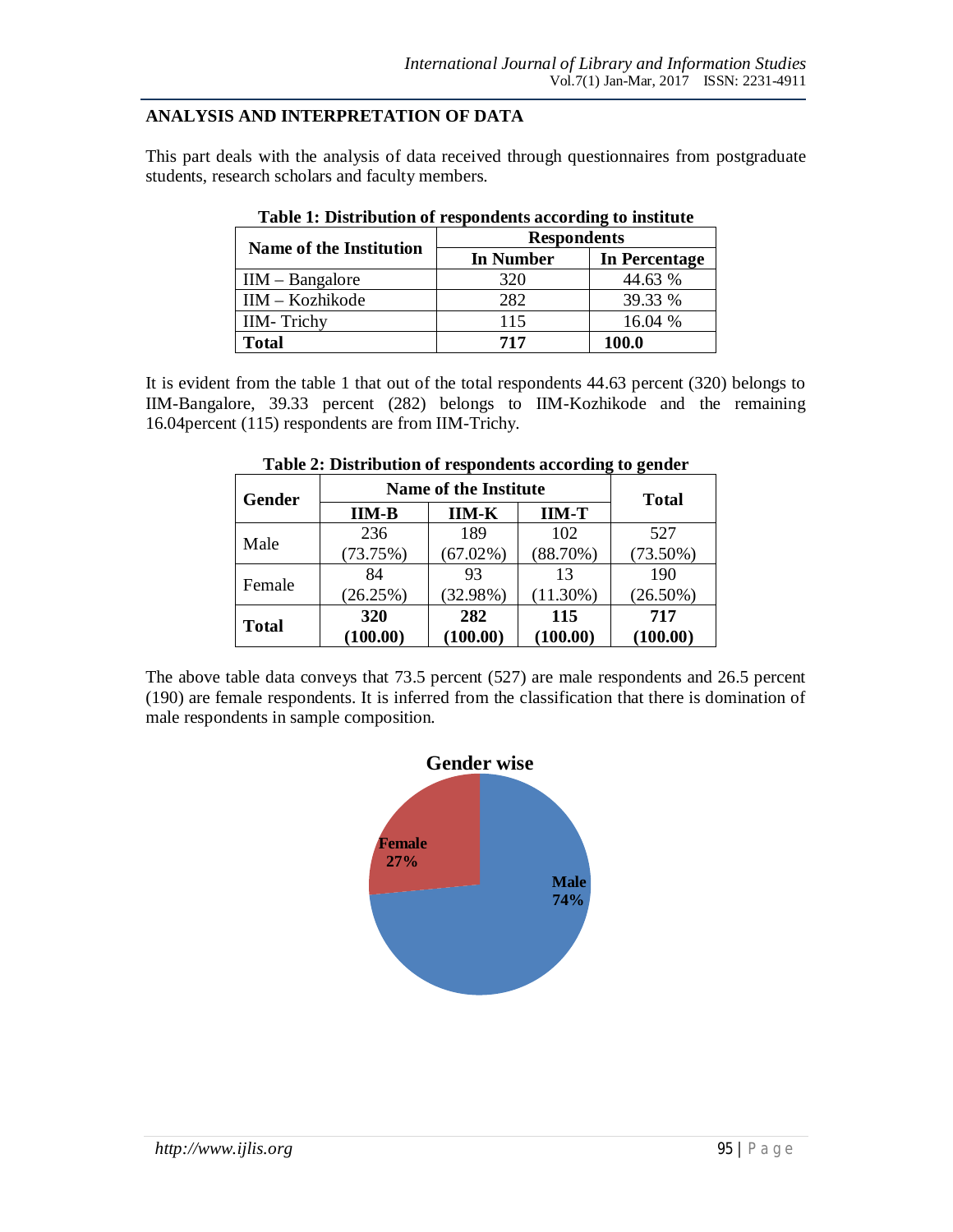#### **ANALYSIS AND INTERPRETATION OF DATA**

This part deals with the analysis of data received through questionnaires from postgraduate students, research scholars and faculty members.

| <b>Name of the Institution</b> | <b>Respondents</b> |               |
|--------------------------------|--------------------|---------------|
|                                | In Number          | In Percentage |
| $IIM - Bangalore$              | 320                | 44.63 %       |
| $IM - Kozhikode$               | 282                | 39.33 %       |
| <b>IIM-Trichy</b>              | 115                | 16.04 %       |
| Total                          | 717                | 100.0         |

| Table 1: Distribution of respondents according to institute |  |  |
|-------------------------------------------------------------|--|--|
|-------------------------------------------------------------|--|--|

It is evident from the table 1 that out of the total respondents 44.63 percent (320) belongs to IIM-Bangalore, 39.33 percent (282) belongs to IIM-Kozhikode and the remaining 16.04percent (115) respondents are from IIM-Trichy.

| Gender       |          | <b>Name of the Institute</b> |             | <b>Total</b> |
|--------------|----------|------------------------------|-------------|--------------|
|              | $IM-B$   | <b>IIM-K</b>                 | $IM-T$      |              |
|              | 236      | 189                          | 102         | 527          |
| Male         | (73.75%) | $(67.02\%)$                  | (88.70%)    | $(73.50\%)$  |
| Female       | 84       | 93                           | 13          | 190          |
|              | (26.25%) | (32.98%)                     | $(11.30\%)$ | $(26.50\%)$  |
|              | 320      | 282                          | 115         | 717          |
| <b>Total</b> | (100.00) | (100.00)                     | (100.00)    | (100.00)     |

|  | Table 2: Distribution of respondents according to gender |
|--|----------------------------------------------------------|
|--|----------------------------------------------------------|

The above table data conveys that 73.5 percent (527) are male respondents and 26.5 percent (190) are female respondents. It is inferred from the classification that there is domination of male respondents in sample composition.

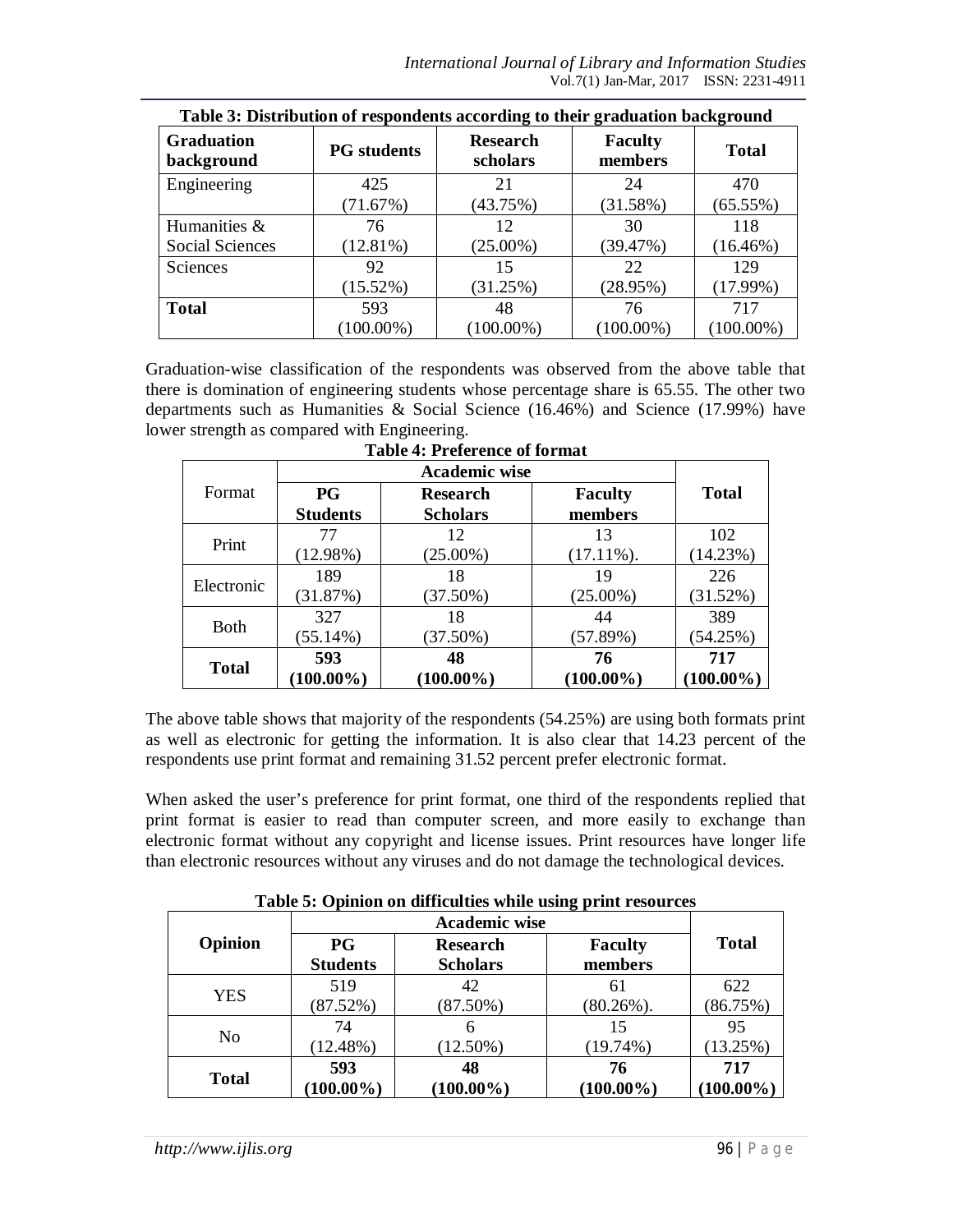*International Journal of Library and Information Studies* Vol.7(1) Jan-Mar, 2017 ISSN: 2231-4911

| Table 3: Distribution of respondents according to their graduation background |                    |                             |                           |              |
|-------------------------------------------------------------------------------|--------------------|-----------------------------|---------------------------|--------------|
| <b>Graduation</b><br>background                                               | <b>PG</b> students | <b>Research</b><br>scholars | <b>Faculty</b><br>members | <b>Total</b> |
| Engineering                                                                   | 425                | 21                          | 24                        | 470          |
|                                                                               | (71.67%)           | (43.75%)                    | (31.58%)                  | (65.55%)     |
| Humanities &                                                                  | 76                 | 12                          | 30                        | 118          |
| <b>Social Sciences</b>                                                        | $(12.81\%)$        | $(25.00\%)$                 | (39.47%)                  | $(16.46\%)$  |
| Sciences                                                                      | 92                 | 15                          | 22                        | 129          |
|                                                                               | $(15.52\%)$        | (31.25%)                    | (28.95%)                  | (17.99%)     |
| <b>Total</b>                                                                  | 593                | 48                          | 76                        | 717          |
|                                                                               | $(100.00\%)$       | $(100.00\%)$                | $(100.00\%)$              | $(100.00\%)$ |

Graduation-wise classification of the respondents was observed from the above table that there is domination of engineering students whose percentage share is 65.55. The other two departments such as Humanities & Social Science (16.46%) and Science (17.99%) have lower strength as compared with Engineering.

|              |                 | <b>Academic wise</b> |                |              |
|--------------|-----------------|----------------------|----------------|--------------|
| Format       | <b>PG</b>       | <b>Research</b>      | <b>Faculty</b> | <b>Total</b> |
|              | <b>Students</b> | <b>Scholars</b>      | members        |              |
| Print        | 77              | 12                   | 13             | 102          |
|              | (12.98%)        | $(25.00\%)$          | $(17.11\%)$ .  | (14.23%)     |
| Electronic   | 189             | 18                   | 19             | 226          |
|              | (31.87%)        | (37.50%)             | $(25.00\%)$    | (31.52%)     |
|              | 327             | 18                   | 44             | 389          |
| <b>Both</b>  | $(55.14\%)$     | (37.50%)             | (57.89%)       | (54.25%)     |
|              | 593             | 48                   | 76             | 717          |
| <b>Total</b> | $(100.00\%)$    | $(100.00\%)$         | $(100.00\%)$   | $(100.00\%)$ |

**Table 4: Preference of format**

The above table shows that majority of the respondents (54.25%) are using both formats print as well as electronic for getting the information. It is also clear that 14.23 percent of the respondents use print format and remaining 31.52 percent prefer electronic format.

When asked the user's preference for print format, one third of the respondents replied that print format is easier to read than computer screen, and more easily to exchange than electronic format without any copyright and license issues. Print resources have longer life than electronic resources without any viruses and do not damage the technological devices.

|  |  |  |  |  | Table 5: Opinion on difficulties while using print resources |  |  |  |  |  |
|--|--|--|--|--|--------------------------------------------------------------|--|--|--|--|--|
|--|--|--|--|--|--------------------------------------------------------------|--|--|--|--|--|

|                |                 | <b>Academic wise</b> |                |              |
|----------------|-----------------|----------------------|----------------|--------------|
| Opinion        | <b>PG</b>       | <b>Research</b>      | <b>Faculty</b> | <b>Total</b> |
|                | <b>Students</b> | <b>Scholars</b>      | members        |              |
| <b>YES</b>     | 519             | 42                   | 61             | 622          |
|                | (87.52%)        | $(87.50\%)$          | $(80.26\%)$ .  | (86.75%)     |
|                | 74              | 6                    | 15             | 95           |
| N <sub>0</sub> | $(12.48\%)$     | $(12.50\%)$          | $(19.74\%)$    | (13.25%)     |
|                | 593             | 48                   | 76             | 717          |
| <b>Total</b>   | $(100.00\%)$    | $(100.00\%)$         | $(100.00\%)$   | $(100.00\%)$ |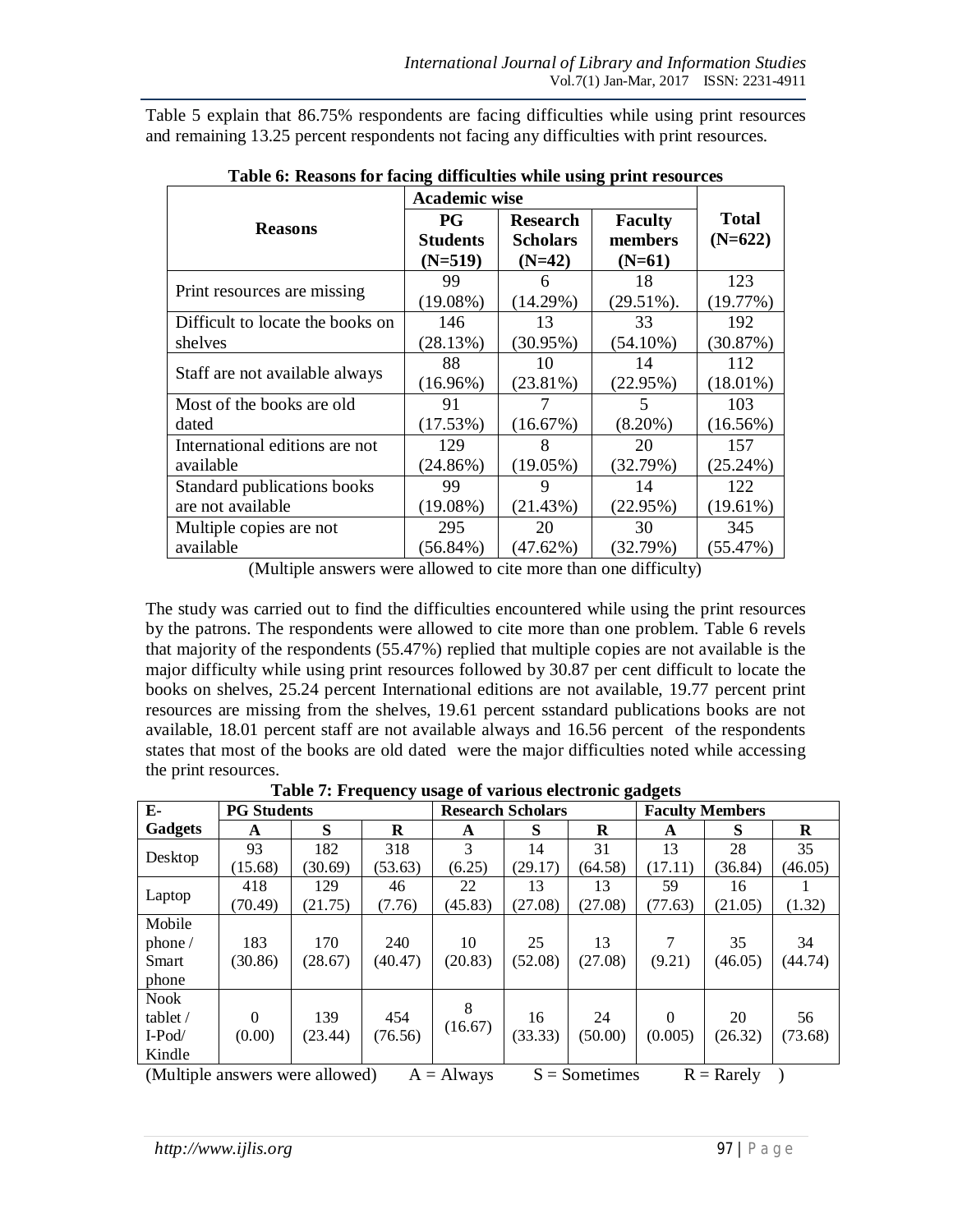Table 5 explain that 86.75% respondents are facing difficulties while using print resources and remaining 13.25 percent respondents not facing any difficulties with print resources.

|                                  | <b>Academic wise</b> |                 |                |              |
|----------------------------------|----------------------|-----------------|----------------|--------------|
| <b>Reasons</b>                   | <b>PG</b>            | <b>Research</b> | <b>Faculty</b> | <b>Total</b> |
|                                  | <b>Students</b>      | <b>Scholars</b> | members        | $(N=622)$    |
|                                  | $(N=519)$            | $(N=42)$        | $(N=61)$       |              |
| Print resources are missing      | 99                   | 6               | 18             | 123          |
|                                  | $(19.08\%)$          | (14.29%)        | $(29.51\%)$ .  | (19.77%)     |
| Difficult to locate the books on | 146                  | 13              | 33             | 192          |
| shelves                          | (28.13%)             | (30.95%)        | $(54.10\%)$    | (30.87%)     |
| Staff are not available always   | 88                   | 10              | 14             | 112          |
|                                  | $(16.96\%)$          | $(23.81\%)$     | (22.95%)       | $(18.01\%)$  |
| Most of the books are old        | 91                   |                 | 5              | 103          |
| dated                            | (17.53%)             | (16.67%)        | $(8.20\%)$     | $(16.56\%)$  |
| International editions are not   | 129                  | 8               | 20             | 157          |
| available                        | $(24.86\%)$          | $(19.05\%)$     | (32.79%)       | (25.24%)     |
| Standard publications books      | 99                   | 9               | 14             | 122          |
| are not available                | $(19.08\%)$          | (21.43%)        | (22.95%)       | $(19.61\%)$  |
| Multiple copies are not          | 295                  | 20              | 30             | 345          |
| available                        | $(56.84\%)$          | (47.62%)        | (32.79%)       | (55.47%)     |

(Multiple answers were allowed to cite more than one difficulty)

The study was carried out to find the difficulties encountered while using the print resources by the patrons. The respondents were allowed to cite more than one problem. Table 6 revels that majority of the respondents (55.47%) replied that multiple copies are not available is the major difficulty while using print resources followed by 30.87 per cent difficult to locate the books on shelves, 25.24 percent International editions are not available, 19.77 percent print resources are missing from the shelves, 19.61 percent sstandard publications books are not available, 18.01 percent staff are not available always and 16.56 percent of the respondents states that most of the books are old dated were the major difficulties noted while accessing the print resources.

| Table 7: Frequency usage of various electronic gadgets |
|--------------------------------------------------------|
|--------------------------------------------------------|

| Е-                                                                                                                                                  | <b>PG Students</b> |         |         | <b>Research Scholars</b> |         |         | <b>Faculty Members</b> |         |         |
|-----------------------------------------------------------------------------------------------------------------------------------------------------|--------------------|---------|---------|--------------------------|---------|---------|------------------------|---------|---------|
| Gadgets                                                                                                                                             | A                  | S       | R       | A                        | S       | R       | A                      | S       | $\bf R$ |
| Desktop                                                                                                                                             | 93                 | 182     | 318     | 3                        | 14      | 31      | 13                     | 28      | 35      |
|                                                                                                                                                     | (15.68)            | (30.69) | (53.63) | (6.25)                   | (29.17) | (64.58) | (17.11)                | (36.84) | (46.05) |
| Laptop                                                                                                                                              | 418                | 129     | 46      | 22                       | 13      | 13      | 59                     | 16      |         |
|                                                                                                                                                     | (70.49)            | (21.75) | (7.76)  | (45.83)                  | (27.08) | (27.08) | (77.63)                | (21.05) | (1.32)  |
| Mobile                                                                                                                                              |                    |         |         |                          |         |         |                        |         |         |
| phone /                                                                                                                                             | 183                | 170     | 240     | 10                       | 25      | 13      | 7                      | 35      | 34      |
| Smart                                                                                                                                               | (30.86)            | (28.67) | (40.47) | (20.83)                  | (52.08) | (27.08) | (9.21)                 | (46.05) | (44.74) |
| phone                                                                                                                                               |                    |         |         |                          |         |         |                        |         |         |
| <b>Nook</b>                                                                                                                                         |                    |         |         | 8                        |         |         |                        |         |         |
| tablet $\overline{\phantom{a}}$                                                                                                                     | $\Omega$           | 139     | 454     | (16.67)                  | 16      | 24      | $\Omega$               | 20      | 56      |
| $I-Pod/$                                                                                                                                            | (0.00)             | (23.44) | (76.56) |                          | (33.33) | (50.00) | (0.005)                | (26.32) | (73.68) |
| Kindle                                                                                                                                              |                    |         |         |                          |         |         |                        |         |         |
| (Multiple apewere were allowed)<br>$S -$ Somatimes<br>$\mathbf{D} = \mathbf{D}_{\text{aradv}}$<br>$\Lambda = \Lambda \cdot \cdot \cdot \cdot \cdot$ |                    |         |         |                          |         |         |                        |         |         |

(Multiple answers were allowed)  $A = Always$   $S = Sometimes$   $R = Karely$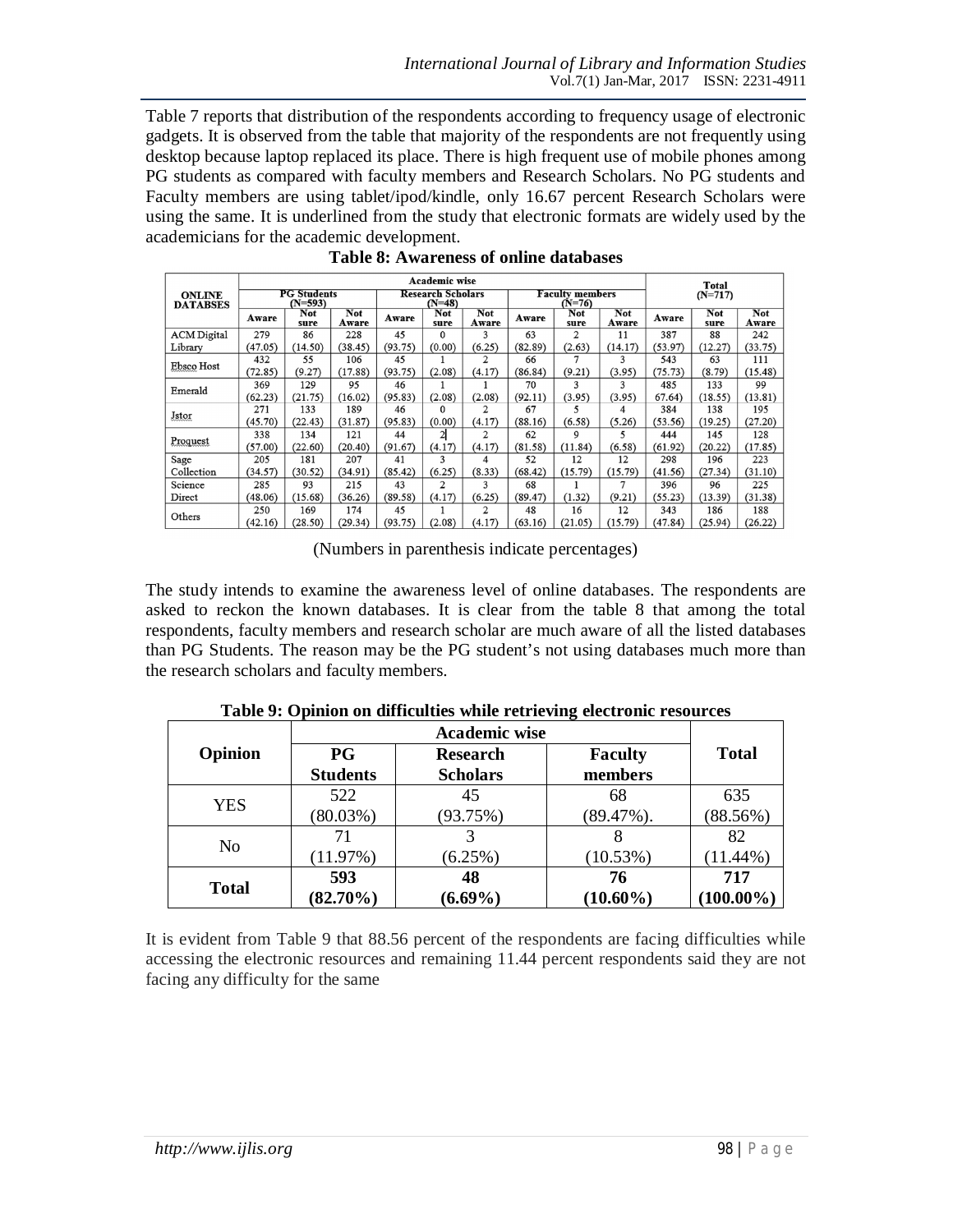Table 7 reports that distribution of the respondents according to frequency usage of electronic gadgets. It is observed from the table that majority of the respondents are not frequently using desktop because laptop replaced its place. There is high frequent use of mobile phones among PG students as compared with faculty members and Research Scholars. No PG students and Faculty members are using tablet/ipod/kindle, only 16.67 percent Research Scholars were using the same. It is underlined from the study that electronic formats are widely used by the academicians for the academic development.

|                                  | Academic wise                   |             |                     |                                      |                |                                  |         | Total          |                     |         |                    |                     |
|----------------------------------|---------------------------------|-------------|---------------------|--------------------------------------|----------------|----------------------------------|---------|----------------|---------------------|---------|--------------------|---------------------|
| <b>ONLINE</b><br><b>DATABSES</b> | <b>PG Students</b><br>$(N=593)$ |             |                     | <b>Research Scholars</b><br>$(N=48)$ |                | <b>Faculty members</b><br>(N=76) |         |                | $(N=717)$           |         |                    |                     |
|                                  | Aware                           | Not<br>sure | <b>Not</b><br>Aware | Aware                                | Not<br>sure    | Not<br>Aware                     | Aware   | Not<br>sure    | <b>Not</b><br>Aware | Aware   | <b>Not</b><br>sure | <b>Not</b><br>Aware |
| <b>ACM</b> Digital               | 279                             | 86          | 228                 | 45                                   | $\Omega$       | 3                                | 63      | $\overline{c}$ | 11                  | 387     | 88                 | 242                 |
| Library                          | (47.05)                         | (14.50)     | (38.45)             | (93.75)                              | (0.00)         | (6.25)                           | (82.89) | (2.63)         | (14.17)             | (53.97) | (12.27)            | (33.75)             |
|                                  | 432                             | 55          | 106                 | 45                                   |                | 2                                | 66      |                | 3                   | 543     | 63                 | 111                 |
| Ebsco Host                       | (72.85)                         | (9.27)      | (17.88)             | (93.75)                              | (2.08)         | (4.17)                           | (86.84) | (9.21)         | (3.95)              | (75.73) | (8.79)             | (15.48)             |
| Emerald                          | 369                             | 129         | 95                  | 46                                   |                |                                  | 70      | 3              | 3                   | 485     | 133                | 99                  |
|                                  | (62.23)                         | (21.75)     | (16.02)             | (95.83)                              | (2.08)         | (2.08)                           | (92.11) | (3.95)         | (3.95)              | 67.64)  | (18.55)            | (13.81)             |
|                                  | 271                             | 133         | 189                 | 46                                   |                |                                  | 67      |                | 4                   | 384     | 138                | 195                 |
| Jstor                            | (45.70)                         | (22.43)     | (31.87)             | (95.83)                              | (0.00)         | (4.17)                           | (88.16) | (6.58)         | (5.26)              | (53.56) | (19.25)            | (27.20)             |
| Proquest                         | 338                             | 134         | 121                 | 44                                   | $\overline{2}$ | $\overline{2}$                   | 62      | 9              | 5                   | 444     | 145                | 128                 |
|                                  | (57.00)                         | (22.60)     | (20.40)             | (91.67)                              | (4.17)         | (4.17)                           | (81.58) | (11.84)        | (6.58)              | (61.92) | (20.22)            | (17.85)             |
| Sage                             | 205                             | 181         | 207                 | 41                                   | 3              | 4                                | 52      | 12             | 12                  | 298     | 196                | 223                 |
| Collection                       | (34.57)                         | (30.52)     | (34.91)             | (85.42)                              | (6.25)         | (8.33)                           | (68.42) | (15.79)        | (15.79)             | (41.56) | (27.34)            | (31.10)             |
| Science                          | 285                             | 93          | 215                 | 43                                   | $\overline{c}$ | 3                                | 68      |                |                     | 396     | 96                 | 225                 |
| Direct                           | (48.06)                         | (15.68)     | (36.26)             | (89.58)                              | (4.17)         | (6.25)                           | (89.47) | (1.32)         | (9.21)              | (55.23) | (13.39)            | (31.38)             |
| Others                           | 250                             | 169         | 174                 | 45                                   |                | 2                                | 48      | 16             | 12                  | 343     | 186                | 188                 |
|                                  | (42.16)                         | (28.50)     | (29.34)             | (93.75)                              | (2.08)         | (4.17)                           | (63.16) | (21.05)        | (15.79)             | (47.84) | (25.94)            | (26.22)             |

|  | Table 8: Awareness of online databases |  |  |
|--|----------------------------------------|--|--|
|--|----------------------------------------|--|--|

(Numbers in parenthesis indicate percentages)

The study intends to examine the awareness level of online databases. The respondents are asked to reckon the known databases. It is clear from the table 8 that among the total respondents, faculty members and research scholar are much aware of all the listed databases than PG Students. The reason may be the PG student's not using databases much more than the research scholars and faculty members.

| Opinion      | $_{\rm PG}$     | <b>Research</b> | <b>Faculty</b> | <b>Total</b> |
|--------------|-----------------|-----------------|----------------|--------------|
|              | <b>Students</b> | <b>Scholars</b> | members        |              |
|              | 522             | 45              | 68             | 635          |
| YES          | $(80.03\%)$     | (93.75%)        | $(89.47\%).$   | (88.56%)     |
|              |                 |                 |                | 82           |
| No           | (11.97%)        | (6.25%)         | (10.53%)       | $(11.44\%)$  |
| <b>Total</b> | 593             | 48              | 76             | 717          |
|              | $(82.70\%)$     | $(6.69\%)$      | $(10.60\%)$    | $(100.00\%)$ |

**Table 9: Opinion on difficulties while retrieving electronic resources**

It is evident from Table 9 that 88.56 percent of the respondents are facing difficulties while accessing the electronic resources and remaining 11.44 percent respondents said they are not facing any difficulty for the same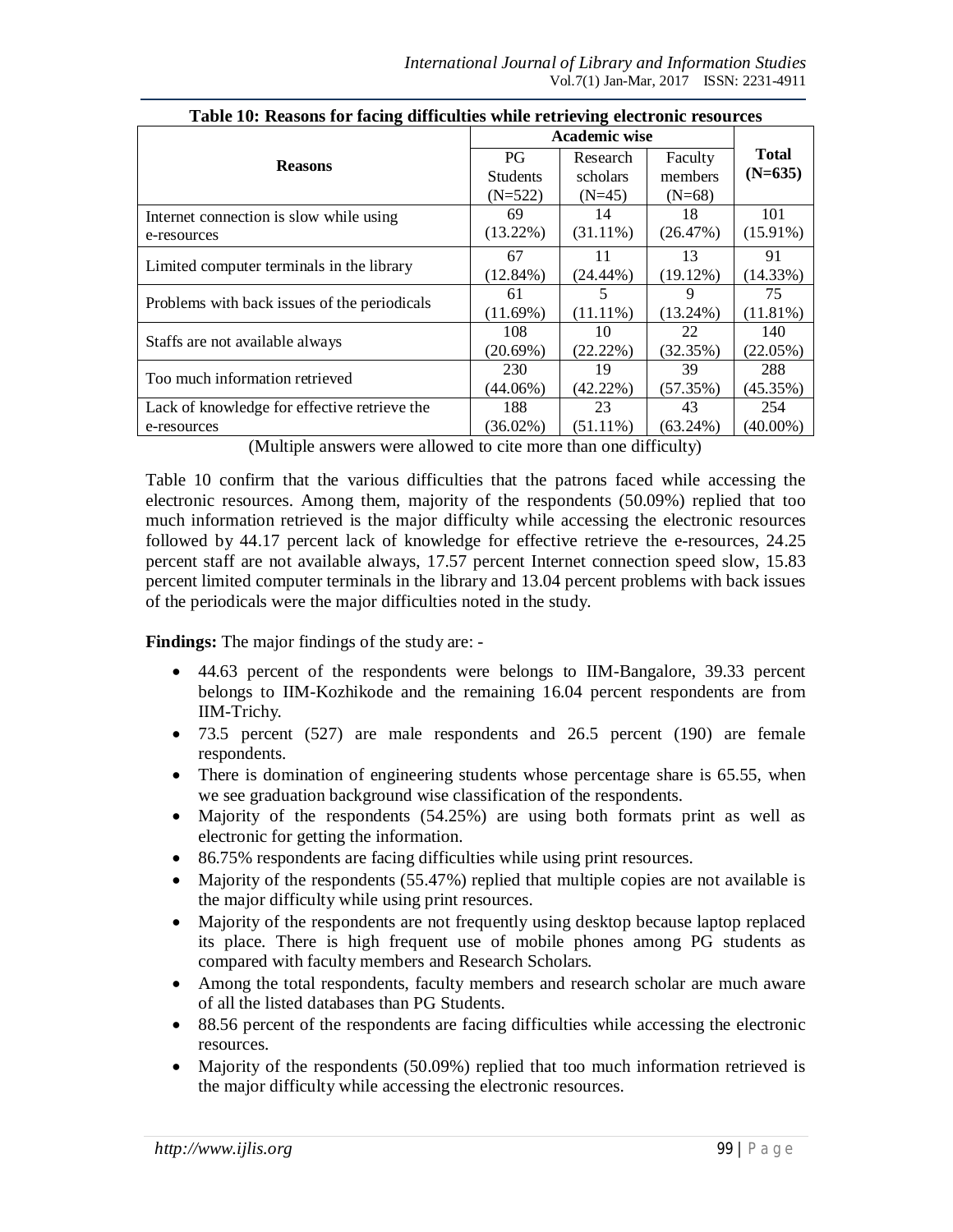| Twele Tor Treasons for nearing unfrequence while feathering electricities resources |                      |             |             |              |  |  |  |  |
|-------------------------------------------------------------------------------------|----------------------|-------------|-------------|--------------|--|--|--|--|
|                                                                                     | <b>Academic wise</b> |             |             |              |  |  |  |  |
| <b>Reasons</b>                                                                      | PG.                  | Research    | Faculty     | <b>Total</b> |  |  |  |  |
|                                                                                     | <b>Students</b>      | scholars    | members     | $(N=635)$    |  |  |  |  |
|                                                                                     | $(N=522)$            | $(N=45)$    | $(N=68)$    |              |  |  |  |  |
| Internet connection is slow while using                                             | 69                   | 14          | 18          | 101          |  |  |  |  |
| e-resources                                                                         | $(13.22\%)$          | $(31.11\%)$ | (26.47%)    | $(15.91\%)$  |  |  |  |  |
|                                                                                     | 67                   | 11          | 13          | 91           |  |  |  |  |
| Limited computer terminals in the library                                           | $(12.84\%)$          | $(24.44\%)$ | (19.12%)    | (14.33%)     |  |  |  |  |
| Problems with back issues of the periodicals                                        | 61                   | 5           | 9           | 75           |  |  |  |  |
|                                                                                     | (11.69%)             | $(11.11\%)$ | $(13.24\%)$ | $(11.81\%)$  |  |  |  |  |
|                                                                                     | 108                  | 10          | 22          | 140          |  |  |  |  |
| Staffs are not available always                                                     | $(20.69\%)$          | (22.22%)    | (32.35%)    | (22.05%)     |  |  |  |  |
| Too much information retrieved                                                      | 230                  | 19          | 39          | 288          |  |  |  |  |
|                                                                                     | $(44.06\%)$          | $(42.22\%)$ | (57.35%)    | (45.35%)     |  |  |  |  |
| Lack of knowledge for effective retrieve the                                        | 188                  | 23          | 43          | 254          |  |  |  |  |
| e-resources                                                                         | $(36.02\%)$          | $(51.11\%)$ | $(63.24\%)$ | $(40.00\%)$  |  |  |  |  |

**Table 10: Reasons for facing difficulties while retrieving electronic resources**

(Multiple answers were allowed to cite more than one difficulty)

Table 10 confirm that the various difficulties that the patrons faced while accessing the electronic resources. Among them, majority of the respondents (50.09%) replied that too much information retrieved is the major difficulty while accessing the electronic resources followed by 44.17 percent lack of knowledge for effective retrieve the e-resources, 24.25 percent staff are not available always, 17.57 percent Internet connection speed slow, 15.83 percent limited computer terminals in the library and 13.04 percent problems with back issues of the periodicals were the major difficulties noted in the study.

**Findings:** The major findings of the study are: -

- 44.63 percent of the respondents were belongs to IIM-Bangalore, 39.33 percent belongs to IIM-Kozhikode and the remaining 16.04 percent respondents are from IIM-Trichy.
- 73.5 percent (527) are male respondents and 26.5 percent (190) are female respondents.
- There is domination of engineering students whose percentage share is 65.55, when we see graduation background wise classification of the respondents.
- Majority of the respondents (54.25%) are using both formats print as well as electronic for getting the information.
- 86.75% respondents are facing difficulties while using print resources.
- Majority of the respondents (55.47%) replied that multiple copies are not available is the major difficulty while using print resources.
- Majority of the respondents are not frequently using desktop because laptop replaced its place. There is high frequent use of mobile phones among PG students as compared with faculty members and Research Scholars.
- Among the total respondents, faculty members and research scholar are much aware of all the listed databases than PG Students.
- 88.56 percent of the respondents are facing difficulties while accessing the electronic resources.
- Majority of the respondents (50.09%) replied that too much information retrieved is the major difficulty while accessing the electronic resources.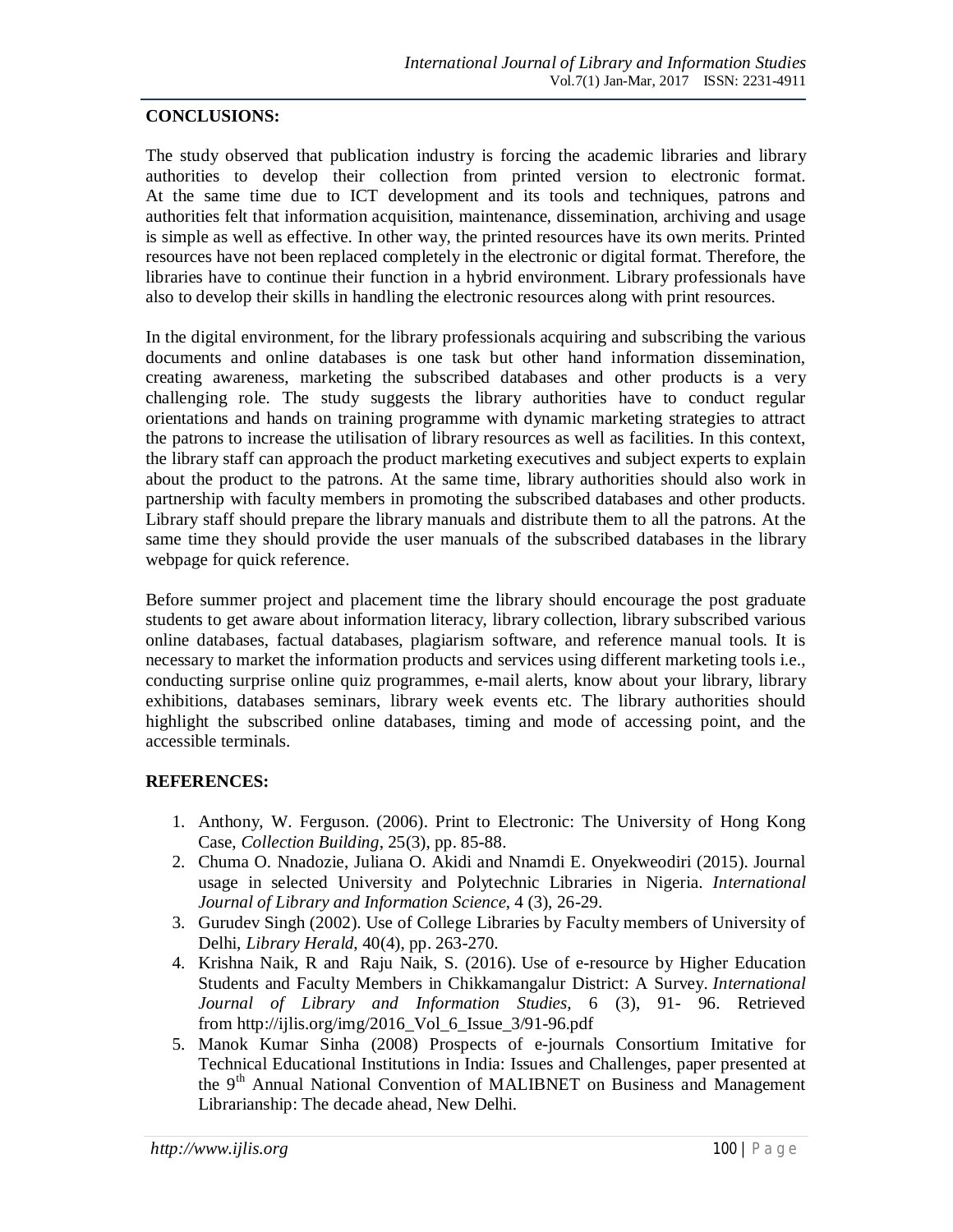#### **CONCLUSIONS:**

The study observed that publication industry is forcing the academic libraries and library authorities to develop their collection from printed version to electronic format. At the same time due to ICT development and its tools and techniques, patrons and authorities felt that information acquisition, maintenance, dissemination, archiving and usage is simple as well as effective. In other way, the printed resources have its own merits. Printed resources have not been replaced completely in the electronic or digital format. Therefore, the libraries have to continue their function in a hybrid environment. Library professionals have also to develop their skills in handling the electronic resources along with print resources.

In the digital environment, for the library professionals acquiring and subscribing the various documents and online databases is one task but other hand information dissemination, creating awareness, marketing the subscribed databases and other products is a very challenging role. The study suggests the library authorities have to conduct regular orientations and hands on training programme with dynamic marketing strategies to attract the patrons to increase the utilisation of library resources as well as facilities. In this context, the library staff can approach the product marketing executives and subject experts to explain about the product to the patrons. At the same time, library authorities should also work in partnership with faculty members in promoting the subscribed databases and other products. Library staff should prepare the library manuals and distribute them to all the patrons. At the same time they should provide the user manuals of the subscribed databases in the library webpage for quick reference.

Before summer project and placement time the library should encourage the post graduate students to get aware about information literacy, library collection, library subscribed various online databases, factual databases, plagiarism software, and reference manual tools. It is necessary to market the information products and services using different marketing tools i.e., conducting surprise online quiz programmes, e-mail alerts, know about your library, library exhibitions, databases seminars, library week events etc. The library authorities should highlight the subscribed online databases, timing and mode of accessing point, and the accessible terminals.

### **REFERENCES:**

- 1. Anthony, W. Ferguson. (2006). Print to Electronic: The University of Hong Kong Case, *Collection Building*, 25(3), pp. 85-88.
- 2. Chuma O. Nnadozie, Juliana O. Akidi and Nnamdi E. Onyekweodiri (2015). Journal usage in selected University and Polytechnic Libraries in Nigeria. *International Journal of Library and Information Science*, 4 (3), 26-29.
- 3. Gurudev Singh (2002). Use of College Libraries by Faculty members of University of Delhi, *Library Herald*, 40(4), pp. 263-270.
- 4. Krishna Naik, R and Raju Naik, S. (2016). Use of e-resource by Higher Education Students and Faculty Members in Chikkamangalur District: A Survey. *International Journal of Library and Information Studies,* 6 (3), 91- 96. Retrieved from http://ijlis.org/img/2016\_Vol\_6\_Issue\_3/91-96.pdf
- 5. Manok Kumar Sinha (2008) Prospects of e-journals Consortium Imitative for Technical Educational Institutions in India: Issues and Challenges, paper presented at the 9<sup>th</sup> Annual National Convention of MALIBNET on Business and Management Librarianship: The decade ahead, New Delhi.